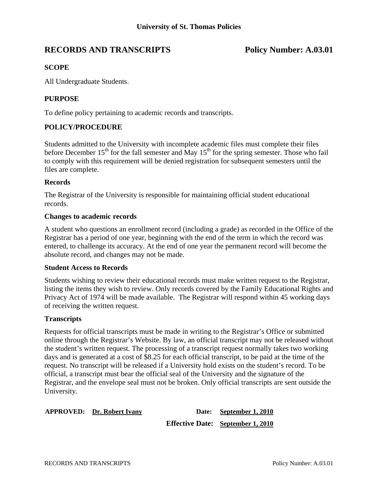# **RECORDS AND TRANSCRIPTS Policy Number: A.03.01**

## **SCOPE**

All Undergraduate Students.

## **PURPOSE**

To define policy pertaining to academic records and transcripts.

## **POLICY/PROCEDURE**

Students admitted to the University with incomplete academic files must complete their files before December  $15<sup>th</sup>$  for the fall semester and May  $15<sup>th</sup>$  for the spring semester. Those who fail to comply with this requirement will be denied registration for subsequent semesters until the files are complete.

#### **Records**

The Registrar of the University is responsible for maintaining official student educational records.

#### **Changes to academic records**

A student who questions an enrollment record (including a grade) as recorded in the Office of the Registrar has a period of one year, beginning with the end of the term in which the record was entered, to challenge its accuracy. At the end of one year the permanent record will become the absolute record, and changes may not be made.

#### **Student Access to Records**

Students wishing to review their educational records must make written request to the Registrar, listing the items they wish to review. Only records covered by the Family Educational Rights and Privacy Act of 1974 will be made available. The Registrar will respond within 45 working days of receiving the written request.

### **Transcripts**

Requests for official transcripts must be made in writing to the Registrar's Office or submitted online through the Registrar's Website. By law, an official transcript may not be released without the student's written request. The processing of a transcript request normally takes two working days and is generated at a cost of \$8.25 for each official transcript, to be paid at the time of the request. No transcript will be released if a University hold exists on the student's record. To be official, a transcript must bear the official seal of the University and the signature of the Registrar, and the envelope seal must not be broken. Only official transcripts are sent outside the University.

| <b>APPROVED:</b> Dr. Robert Ivany | Date: September 1, 2010                  |
|-----------------------------------|------------------------------------------|
|                                   | <b>Effective Date:</b> September 1, 2010 |